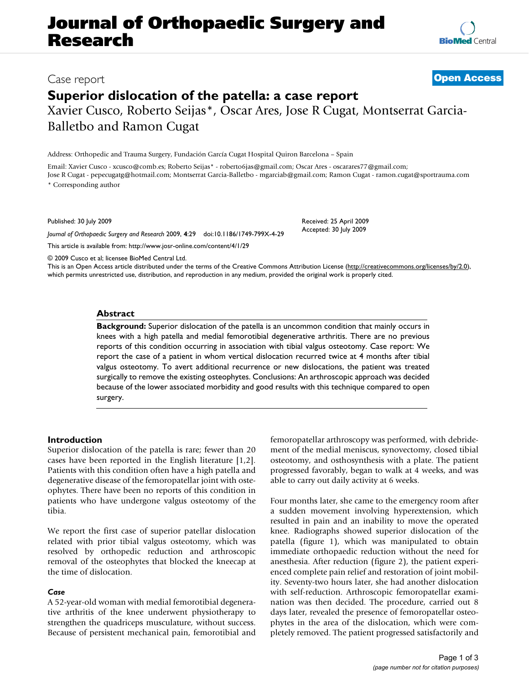# **Journal of Orthopaedic Surgery and Research**

Case report **[Open Access](http://www.biomedcentral.com/info/about/charter/)**

# **Superior dislocation of the patella: a case report** Xavier Cusco, Roberto Seijas\*, Oscar Ares, Jose R Cugat, Montserrat Garcia-

Address: Orthopedic and Trauma Surgery, Fundación García Cugat Hospital Quiron Barcelona – Spain

Email: Xavier Cusco - xcusco@comb.es; Roberto Seijas\* - roberto6jas@gmail.com; Oscar Ares - oscarares77@gmail.com; Jose R Cugat - pepecugatg@hotmail.com; Montserrat Garcia-Balletbo - mgarciab@gmail.com; Ramon Cugat - ramon.cugat@sportrauma.com \* Corresponding author

Published: 30 July 2009

*Journal of Orthopaedic Surgery and Research* 2009, **4**:29 doi:10.1186/1749-799X-4-29

[This article is available from: http://www.josr-online.com/content/4/1/29](http://www.josr-online.com/content/4/1/29)

© 2009 Cusco et al; licensee BioMed Central Ltd.

Balletbo and Ramon Cugat

This is an Open Access article distributed under the terms of the Creative Commons Attribution License [\(http://creativecommons.org/licenses/by/2.0\)](http://creativecommons.org/licenses/by/2.0), which permits unrestricted use, distribution, and reproduction in any medium, provided the original work is properly cited.

### **Abstract**

**Background:** Superior dislocation of the patella is an uncommon condition that mainly occurs in knees with a high patella and medial femorotibial degenerative arthritis. There are no previous reports of this condition occurring in association with tibial valgus osteotomy. Case report: We report the case of a patient in whom vertical dislocation recurred twice at 4 months after tibial valgus osteotomy. To avert additional recurrence or new dislocations, the patient was treated surgically to remove the existing osteophytes. Conclusions: An arthroscopic approach was decided because of the lower associated morbidity and good results with this technique compared to open surgery.

#### **Introduction**

Superior dislocation of the patella is rare; fewer than 20 cases have been reported in the English literature [1,2]. Patients with this condition often have a high patella and degenerative disease of the femoropatellar joint with osteophytes. There have been no reports of this condition in patients who have undergone valgus osteotomy of the tibia.

We report the first case of superior patellar dislocation related with prior tibial valgus osteotomy, which was resolved by orthopedic reduction and arthroscopic removal of the osteophytes that blocked the kneecap at the time of dislocation.

#### *Case*

A 52-year-old woman with medial femorotibial degenerative arthritis of the knee underwent physiotherapy to strengthen the quadriceps musculature, without success. Because of persistent mechanical pain, femorotibial and femoropatellar arthroscopy was performed, with debridement of the medial meniscus, synovectomy, closed tibial osteotomy, and osthosynthesis with a plate. The patient progressed favorably, began to walk at 4 weeks, and was able to carry out daily activity at 6 weeks.

Four months later, she came to the emergency room after a sudden movement involving hyperextension, which resulted in pain and an inability to move the operated knee. Radiographs showed superior dislocation of the patella (figure 1), which was manipulated to obtain immediate orthopaedic reduction without the need for anesthesia. After reduction (figure 2), the patient experienced complete pain relief and restoration of joint mobility. Seventy-two hours later, she had another dislocation with self-reduction. Arthroscopic femoropatellar examination was then decided. The procedure, carried out 8 days later, revealed the presence of femoropatellar osteophytes in the area of the dislocation, which were completely removed. The patient progressed satisfactorily and



Received: 25 April 2009

Accepted: 30 July 2009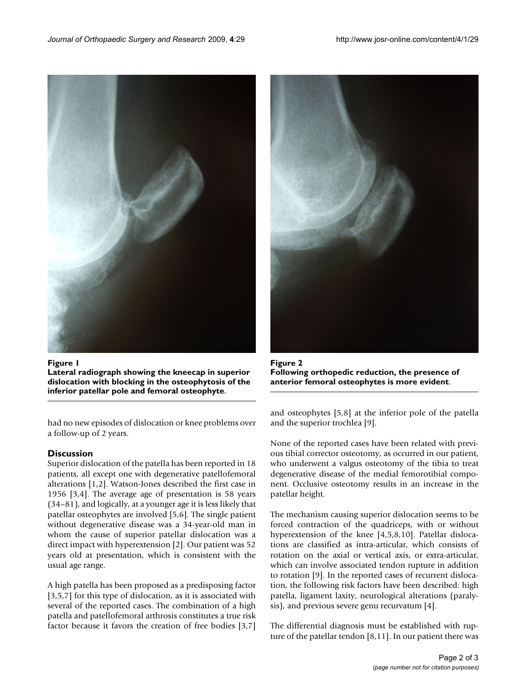

Figure 1 **Lateral radiograph showing the kneecap in superior dislocation with blocking in the osteophytosis of the inferior patellar pole and femoral osteophyte**.

had no new episodes of dislocation or knee problems over a follow-up of 2 years.

## **Discussion**

Superior dislocation of the patella has been reported in 18 patients, all except one with degenerative patellofemoral alterations [1,2]. Watson-Jones described the first case in 1956 [3,4]. The average age of presentation is 58 years (34–81), and logically, at a younger age it is less likely that patellar osteophytes are involved [5,6]. The single patient without degenerative disease was a 34-year-old man in whom the cause of superior patellar dislocation was a direct impact with hyperextension [2]. Our patient was 52 years old at presentation, which is consistent with the usual age range.

A high patella has been proposed as a predisposing factor [3,5,7] for this type of dislocation, as it is associated with several of the reported cases. The combination of a high patella and patellofemoral arthrosis constitutes a true risk factor because it favors the creation of free bodies [3,7]



Figure 2 **Following orthopedic reduction, the presence of anterior femoral osteophytes is more evident**.

and osteophytes [5,8] at the inferior pole of the patella and the superior trochlea [9].

None of the reported cases have been related with previous tibial corrector osteotomy, as occurred in our patient, who underwent a valgus osteotomy of the tibia to treat degenerative disease of the medial femorotibial component. Occlusive osteotomy results in an increase in the patellar height.

The mechanism causing superior dislocation seems to be forced contraction of the quadriceps, with or without hyperextension of the knee [4,5,8,10]. Patellar dislocations are classified as intra-articular, which consists of rotation on the axial or vertical axis, or extra-articular, which can involve associated tendon rupture in addition to rotation [9]. In the reported cases of recurrent dislocation, the following risk factors have been described: high patella, ligament laxity, neurological alterations (paralysis), and previous severe genu recurvatum [4].

The differential diagnosis must be established with rupture of the patellar tendon  $[8,11]$ . In our patient there was